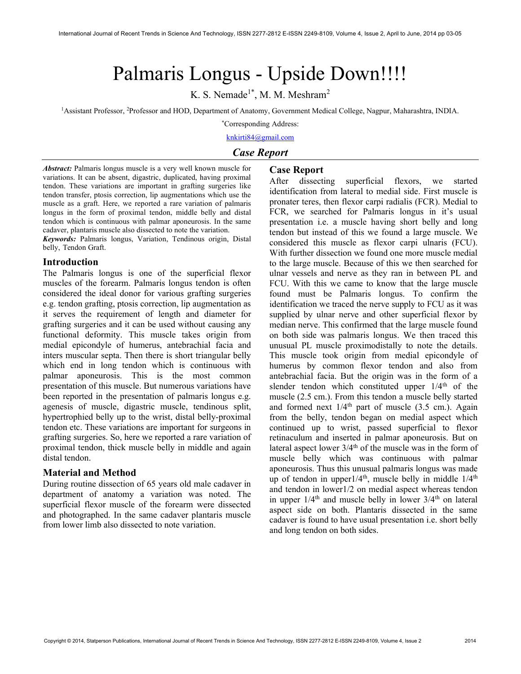# Palmaris Longus - Upside Down!!!!

K. S. Nemade<sup>1\*</sup>, M. M. Meshram<sup>2</sup>

<sup>1</sup>Assistant Professor, <sup>2</sup>Professor and HOD, Department of Anatomy, Government Medical College, Nagpur, Maharashtra, INDIA.

\*Corresponding Address: knkirti84@gmail.com

# Case Report

Abstract: Palmaris longus muscle is a very well known muscle for variations. It can be absent, digastric, duplicated, having proximal tendon. These variations are important in grafting surgeries like tendon transfer, ptosis correction, lip augmentations which use the muscle as a graft. Here, we reported a rare variation of palmaris longus in the form of proximal tendon, middle belly and distal tendon which is continuous with palmar aponeurosis. In the same cadaver, plantaris muscle also dissected to note the variation.

Keywords: Palmaris longus, Variation, Tendinous origin, Distal belly, Tendon Graft.

#### Introduction

The Palmaris longus is one of the superficial flexor muscles of the forearm. Palmaris longus tendon is often considered the ideal donor for various grafting surgeries e.g. tendon grafting, ptosis correction, lip augmentation as it serves the requirement of length and diameter for grafting surgeries and it can be used without causing any functional deformity. This muscle takes origin from medial epicondyle of humerus, antebrachial facia and inters muscular septa. Then there is short triangular belly which end in long tendon which is continuous with palmar aponeurosis. This is the most common presentation of this muscle. But numerous variations have been reported in the presentation of palmaris longus e.g. agenesis of muscle, digastric muscle, tendinous split, hypertrophied belly up to the wrist, distal belly-proximal tendon etc. These variations are important for surgeons in grafting surgeries. So, here we reported a rare variation of proximal tendon, thick muscle belly in middle and again distal tendon.

# Material and Method

During routine dissection of 65 years old male cadaver in department of anatomy a variation was noted. The superficial flexor muscle of the forearm were dissected and photographed. In the same cadaver plantaris muscle from lower limb also dissected to note variation.

# Case Report

After dissecting superficial flexors, we started identification from lateral to medial side. First muscle is pronater teres, then flexor carpi radialis (FCR). Medial to FCR, we searched for Palmaris longus in it's usual presentation i.e. a muscle having short belly and long tendon but instead of this we found a large muscle. We considered this muscle as flexor carpi ulnaris (FCU). With further dissection we found one more muscle medial to the large muscle. Because of this we then searched for ulnar vessels and nerve as they ran in between PL and FCU. With this we came to know that the large muscle found must be Palmaris longus. To confirm the identification we traced the nerve supply to FCU as it was supplied by ulnar nerve and other superficial flexor by median nerve. This confirmed that the large muscle found on both side was palmaris longus. We then traced this unusual PL muscle proximodistally to note the details. This muscle took origin from medial epicondyle of humerus by common flexor tendon and also from antebrachial facia. But the origin was in the form of a slender tendon which constituted upper  $1/4<sup>th</sup>$  of the muscle (2.5 cm.). From this tendon a muscle belly started and formed next  $1/4$ <sup>th</sup> part of muscle (3.5 cm.). Again from the belly, tendon began on medial aspect which continued up to wrist, passed superficial to flexor retinaculum and inserted in palmar aponeurosis. But on lateral aspect lower  $3/4<sup>th</sup>$  of the muscle was in the form of muscle belly which was continuous with palmar aponeurosis. Thus this unusual palmaris longus was made up of tendon in upper1/4<sup>th</sup>, muscle belly in middle 1/4<sup>th</sup> and tendon in lower1/2 on medial aspect whereas tendon in upper  $1/4<sup>th</sup>$  and muscle belly in lower  $3/4<sup>th</sup>$  on lateral aspect side on both. Plantaris dissected in the same cadaver is found to have usual presentation i.e. short belly and long tendon on both sides.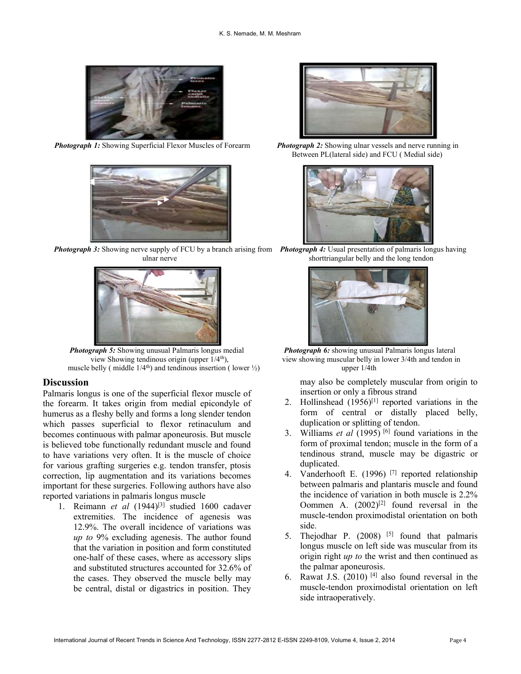



**Photograph 3:** Showing nerve supply of FCU by a branch arising from Photograph 4: Usual presentation of palmaris longus having



Photograph 5: Showing unusual Palmaris longus medial Photograph 6: showing unusual Palmaris longus lateral muscle belly ( middle  $1/4$ <sup>th</sup>) and tendinous insertion ( lower  $\frac{1}{2}$ ) upper 1/4th

### **Discussion**

Palmaris longus is one of the superficial flexor muscle of the forearm. It takes origin from medial epicondyle of humerus as a fleshy belly and forms a long slender tendon which passes superficial to flexor retinaculum and becomes continuous with palmar aponeurosis. But muscle is believed tobe functionally redundant muscle and found to have variations very often. It is the muscle of choice for various grafting surgeries e.g. tendon transfer, ptosis correction, lip augmentation and its variations becomes important for these surgeries. Following authors have also reported variations in palmaris longus muscle

1. Reimann et al  $(1944)^{[3]}$  studied 1600 cadaver extremities. The incidence of agenesis was 12.9%. The overall incidence of variations was up to 9% excluding agenesis. The author found that the variation in position and form constituted one-half of these cases, where as accessory slips and substituted structures accounted for 32.6% of the cases. They observed the muscle belly may be central, distal or digastrics in position. They



**Photograph 1:** Showing Superficial Flexor Muscles of Forearm Photograph 2: Showing ulnar vessels and nerve running in Between PL(lateral side) and FCU ( Medial side)



ulnar nerve shorttriangular belly and the long tendon



view Showing tendinous origin (upper  $1/4<sup>th</sup>$ ), view showing muscular belly in lower 3/4th and tendon in

may also be completely muscular from origin to insertion or only a fibrous strand

- 2. Hollinshead  $(1956)^{[1]}$  reported variations in the form of central or distally placed belly, duplication or splitting of tendon.
- 3. Williams *et al* (1995)<sup>[6]</sup> found variations in the form of proximal tendon; muscle in the form of a tendinous strand, muscle may be digastric or duplicated.
- 4. Vanderhooft E. (1996)<sup>[7]</sup> reported relationship between palmaris and plantaris muscle and found the incidence of variation in both muscle is 2.2% Oommen A.  $(2002)^{[2]}$  found reversal in the muscle-tendon proximodistal orientation on both side.
- 5. The jodhar P.  $(2008)$ <sup>[5]</sup> found that palmaris longus muscle on left side was muscular from its origin right *up to* the wrist and then continued as the palmar aponeurosis.
- 6. Rawat J.S.  $(2010)$  <sup>[4]</sup> also found reversal in the muscle-tendon proximodistal orientation on left side intraoperatively.